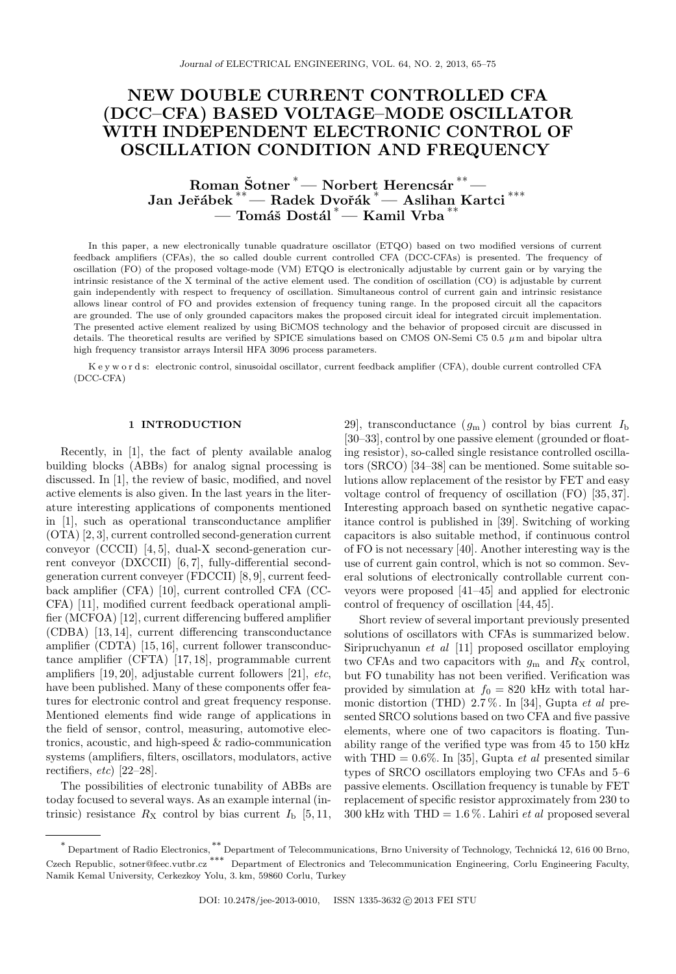# NEW DOUBLE CURRENT CONTROLLED CFA (DCC–CFA) BASED VOLTAGE–MODE OSCILLATOR WITH INDEPENDENT ELECTRONIC CONTROL OF OSCILLATION CONDITION AND FREQUENCY

# $\operatorname{Roman}\nolimits \operatorname{\v{Sotner}}^*$   $\operatorname{\mathsf{--}Norbert}\nolimits \operatorname{Herencsár}^{**}$   $\operatorname{\mathsf{--}n}$ Jan Jeřábek <sup>∗∗</sup>— Radek Dvořák <sup>∗</sup>— Aslihan Kartci <sup>\*\*\*</sup> — Tomáš Dostál <sup>∗</sup>— Kamil Vrba<sup>\*\*</sup>

In this paper, a new electronically tunable quadrature oscillator (ETQO) based on two modified versions of current feedback amplifiers (CFAs), the so called double current controlled CFA (DCC-CFAs) is presented. The frequency of oscillation (FO) of the proposed voltage-mode (VM) ETQO is electronically adjustable by current gain or by varying the intrinsic resistance of the X terminal of the active element used. The condition of oscillation (CO) is adjustable by current gain independently with respect to frequency of oscillation. Simultaneous control of current gain and intrinsic resistance allows linear control of FO and provides extension of frequency tuning range. In the proposed circuit all the capacitors are grounded. The use of only grounded capacitors makes the proposed circuit ideal for integrated circuit implementation. The presented active element realized by using BiCMOS technology and the behavior of proposed circuit are discussed in details. The theoretical results are verified by SPICE simulations based on CMOS ON-Semi C5 0.5  $\mu$ m and bipolar ultra high frequency transistor arrays Intersil HFA 3096 process parameters.

K e y w o r d s: electronic control, sinusoidal oscillator, current feedback amplifier (CFA), double current controlled CFA (DCC-CFA)

## 1 INTRODUCTION

Recently, in [1], the fact of plenty available analog building blocks (ABBs) for analog signal processing is discussed. In [1], the review of basic, modified, and novel active elements is also given. In the last years in the literature interesting applications of components mentioned in [1], such as operational transconductance amplifier (OTA) [2, 3], current controlled second-generation current conveyor (CCCII) [4, 5], dual-X second-generation current conveyor (DXCCII) [6, 7], fully-differential secondgeneration current conveyer (FDCCII) [8, 9], current feedback amplifier (CFA) [10], current controlled CFA (CC-CFA) [11], modified current feedback operational amplifier (MCFOA) [12], current differencing buffered amplifier (CDBA) [13, 14], current differencing transconductance amplifier (CDTA) [15, 16], current follower transconductance amplifier (CFTA) [17, 18], programmable current amplifiers [19, 20], adjustable current followers [21], etc, have been published. Many of these components offer features for electronic control and great frequency response. Mentioned elements find wide range of applications in the field of sensor, control, measuring, automotive electronics, acoustic, and high-speed & radio-communication systems (amplifiers, filters, oscillators, modulators, active rectifiers,  $etc$  [22–28].

The possibilities of electronic tunability of ABBs are today focused to several ways. As an example internal (intrinsic) resistance  $R_X$  control by bias current  $I_b$  [5, 11,

29], transconductance  $(g_m)$  control by bias current  $I_b$ [30–33], control by one passive element (grounded or floating resistor), so-called single resistance controlled oscillators (SRCO) [34–38] can be mentioned. Some suitable solutions allow replacement of the resistor by FET and easy voltage control of frequency of oscillation (FO) [35, 37]. Interesting approach based on synthetic negative capacitance control is published in [39]. Switching of working capacitors is also suitable method, if continuous control of FO is not necessary [40]. Another interesting way is the use of current gain control, which is not so common. Several solutions of electronically controllable current conveyors were proposed [41–45] and applied for electronic control of frequency of oscillation [44, 45].

Short review of several important previously presented solutions of oscillators with CFAs is summarized below. Siripruchyanun et al [11] proposed oscillator employing two CFAs and two capacitors with  $g<sub>m</sub>$  and  $R<sub>X</sub>$  control, but FO tunability has not been verified. Verification was provided by simulation at  $f_0 = 820$  kHz with total harmonic distortion (THD)  $2.7\%$ . In [34], Gupta *et al* presented SRCO solutions based on two CFA and five passive elements, where one of two capacitors is floating. Tunability range of the verified type was from 45 to 150 kHz with THD =  $0.6\%$ . In [35], Gupta *et al* presented similar types of SRCO oscillators employing two CFAs and 5–6 passive elements. Oscillation frequency is tunable by FET replacement of specific resistor approximately from 230 to 300 kHz with THD =  $1.6\%$ . Lahiri *et al* proposed several

<sup>\*</sup> Department of Radio Electronics, \*\* Department of Telecommunications, Brno University of Technology, Technická 12, 616 00 Brno, Czech Republic, sotner@feec.vutbr.cz ∗∗∗ Department of Electronics and Telecommunication Engineering, Corlu Engineering Faculty, Namik Kemal University, Cerkezkoy Yolu, 3. km, 59860 Corlu, Turkey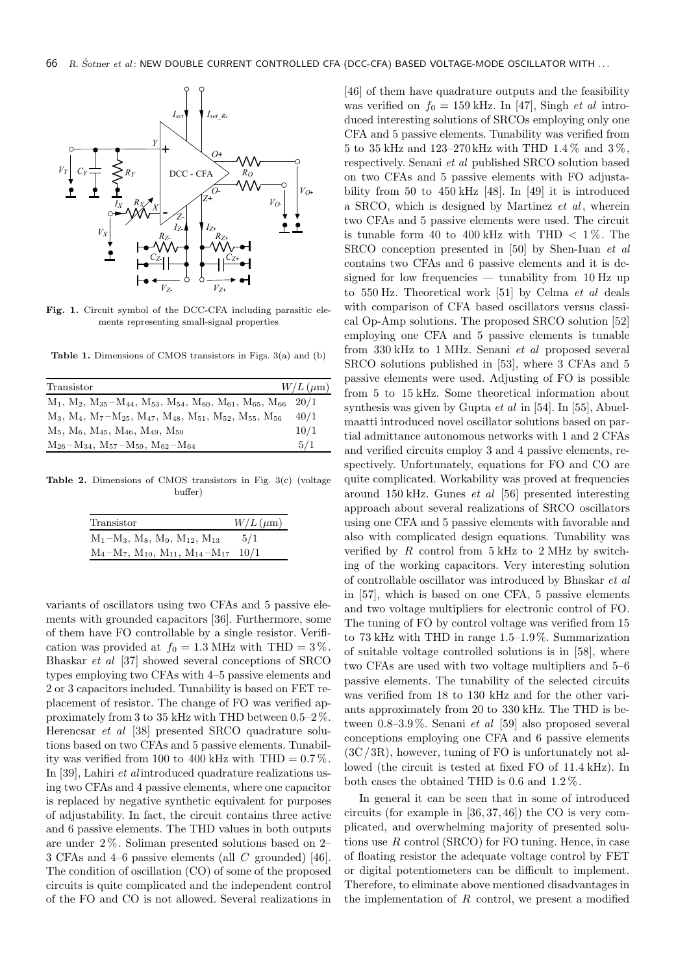

DCC - CFA

 $I_{\text{set}}$   $I_{\text{set}}$ <sub>R</sub>*x* 

*Y*

*+*

 $R$ <sup> $\sigma$ </sup>

*O*+

 $V_Y$   $C_Y \neq \mathbb{R}$ 

Fig. 1. Circuit symbol of the DCC-CFA including parasitic elements representing small-signal properties

Table 1. Dimensions of CMOS transistors in Figs. 3(a) and (b)

| Transistor                                                                     | $W/L \, (\mu \text{m})$ |
|--------------------------------------------------------------------------------|-------------------------|
| $M_1, M_2, M_{35}-M_{44}, M_{53}, M_{54}, M_{60}, M_{61}, M_{65}, M_{66}$ 20/1 |                         |
| $M_3, M_4, M_7-M_{25}, M_{47}, M_{48}, M_{51}, M_{52}, M_{55}, M_{56}$         | 40/1                    |
| $M_5$ , $M_6$ , $M_{45}$ , $M_{46}$ , $M_{49}$ , $M_{50}$                      | 10/1                    |
| $M_{26}-M_{34}$ , $M_{57}-M_{59}$ , $M_{62}-M_{64}$                            | 5/1                     |

Table 2. Dimensions of CMOS transistors in Fig. 3(c) (voltage buffer)

| Transistor                                                 | $W/L \, (\mu \text{m})$ |
|------------------------------------------------------------|-------------------------|
| $M_1-M_3$ , $M_8$ , $M_9$ , $M_{12}$ , $M_{13}$            | 5/1                     |
| $M_4 - M_7$ , $M_{10}$ , $M_{11}$ , $M_{14} - M_{17}$ 10/1 |                         |

variants of oscillators using two CFAs and 5 passive elements with grounded capacitors [36]. Furthermore, some of them have FO controllable by a single resistor. Verification was provided at  $f_0 = 1.3$  MHz with THD =  $3\%$ . Bhaskar et al [37] showed several conceptions of SRCO types employing two CFAs with 4–5 passive elements and 2 or 3 capacitors included. Tunability is based on FET replacement of resistor. The change of FO was verified approximately from 3 to 35 kHz with THD between 0.5–2 %. Herencsar et al [38] presented SRCO quadrature solutions based on two CFAs and 5 passive elements. Tunability was verified from 100 to 400 kHz with THD  $= 0.7\%$ . In [39], Lahiri  $et$  al introduced quadrature realizations using two CFAs and 4 passive elements, where one capacitor is replaced by negative synthetic equivalent for purposes of adjustability. In fact, the circuit contains three active and 6 passive elements. The THD values in both outputs are under 2 %. Soliman presented solutions based on 2– 3 CFAs and 4–6 passive elements (all C grounded) [46]. The condition of oscillation (CO) of some of the proposed circuits is quite complicated and the independent control of the FO and CO is not allowed. Several realizations in

[46] of them have quadrature outputs and the feasibility was verified on  $f_0 = 159$  kHz. In [47], Singh *et al* introduced interesting solutions of SRCOs employing only one CFA and 5 passive elements. Tunability was verified from 5 to 35 kHz and 123–270 kHz with THD 1.4 % and 3 %, respectively. Senani et al published SRCO solution based on two CFAs and 5 passive elements with FO adjustability from 50 to 450 kHz [48]. In [49] it is introduced a SRCO, which is designed by Martinez  $et \, al$ , wherein two CFAs and 5 passive elements were used. The circuit is tunable form 40 to 400 kHz with THD  $< 1\%$ . The SRCO conception presented in [50] by Shen-Iuan et al contains two CFAs and 6 passive elements and it is designed for low frequencies — tunability from  $10 \text{ Hz}$  up to 550 Hz. Theoretical work [51] by Celma et al deals with comparison of CFA based oscillators versus classical Op-Amp solutions. The proposed SRCO solution [52] employing one CFA and 5 passive elements is tunable from 330 kHz to 1 MHz. Senani et al proposed several SRCO solutions published in [53], where 3 CFAs and 5 passive elements were used. Adjusting of FO is possible from 5 to 15 kHz. Some theoretical information about synthesis was given by Gupta et al in [54]. In [55], Abuelmaatti introduced novel oscillator solutions based on partial admittance autonomous networks with 1 and 2 CFAs and verified circuits employ 3 and 4 passive elements, respectively. Unfortunately, equations for FO and CO are quite complicated. Workability was proved at frequencies around 150 kHz. Gunes et al [56] presented interesting approach about several realizations of SRCO oscillators using one CFA and 5 passive elements with favorable and also with complicated design equations. Tunability was verified by  $R$  control from  $5$  kHz to  $2$  MHz by switching of the working capacitors. Very interesting solution of controllable oscillator was introduced by Bhaskar et al in [57], which is based on one CFA, 5 passive elements and two voltage multipliers for electronic control of FO. The tuning of FO by control voltage was verified from 15 to 73 kHz with THD in range 1.5–1.9%. Summarization of suitable voltage controlled solutions is in [58], where two CFAs are used with two voltage multipliers and 5–6 passive elements. The tunability of the selected circuits was verified from 18 to 130 kHz and for the other variants approximately from 20 to 330 kHz. The THD is between  $0.8-3.9\%$ . Senani *et al* [59] also proposed several conceptions employing one CFA and 6 passive elements  $(3C/3R)$ , however, tuning of FO is unfortunately not allowed (the circuit is tested at fixed FO of 11.4 kHz). In both cases the obtained THD is 0.6 and 1.2 %.

In general it can be seen that in some of introduced circuits (for example in [36, 37, 46]) the CO is very complicated, and overwhelming majority of presented solutions use  $R$  control (SRCO) for FO tuning. Hence, in case of floating resistor the adequate voltage control by FET or digital potentiometers can be difficult to implement. Therefore, to eliminate above mentioned disadvantages in the implementation of  $R$  control, we present a modified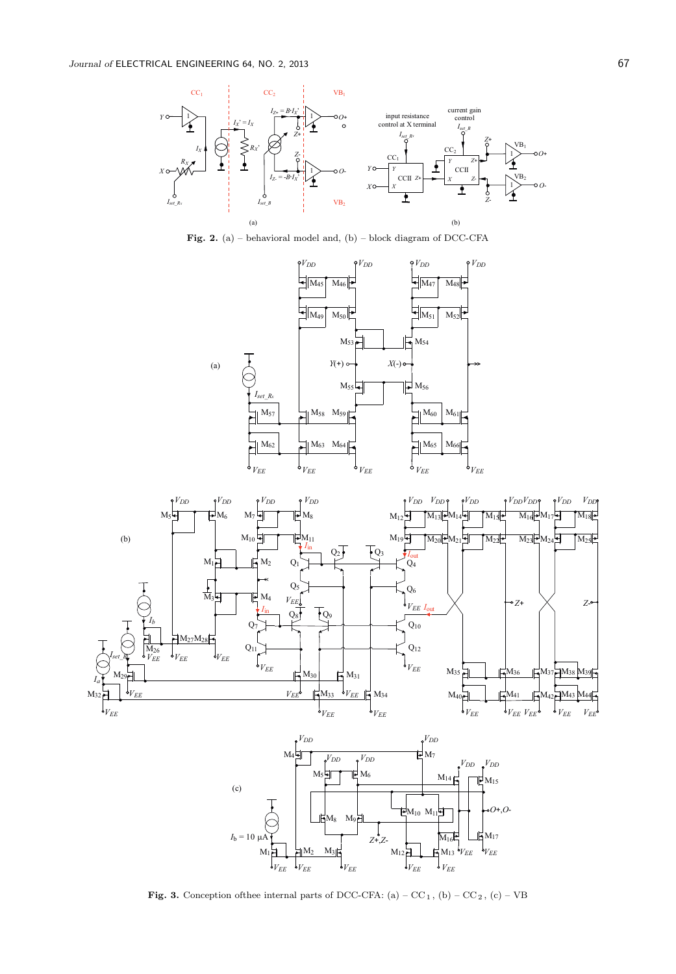

Fig. 2. (a) – behavioral model and, (b) – block diagram of DCC-CFA







Fig. 3. Conception of<br>thee internal parts of DCC-CFA: (a) – CC<sub>1</sub>, (b) – CC<sub>2</sub>, (c) – VB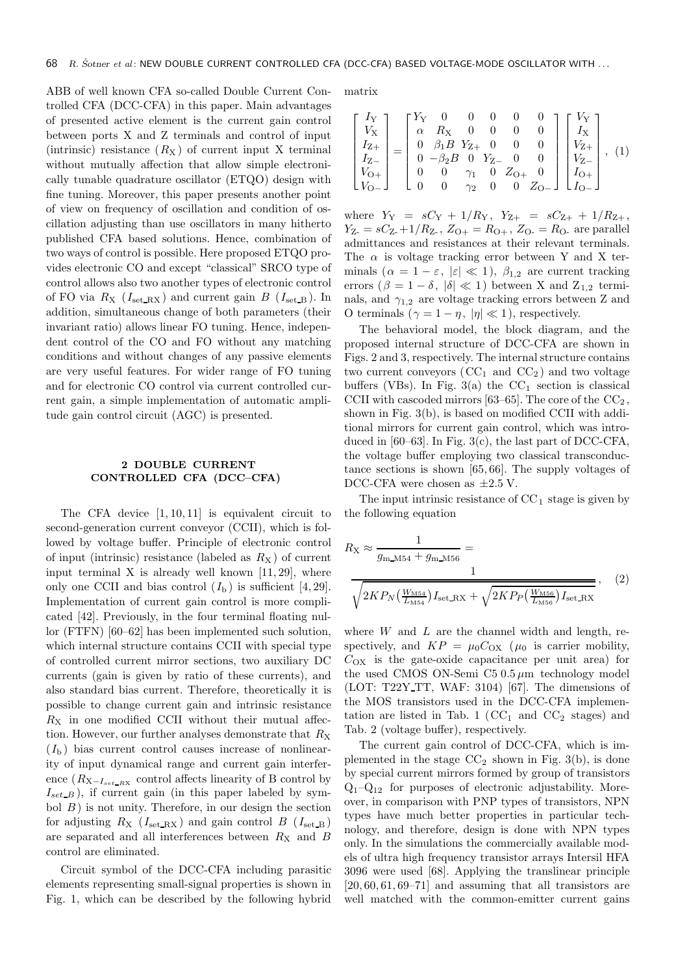ABB of well known CFA so-called Double Current Controlled CFA (DCC-CFA) in this paper. Main advantages of presented active element is the current gain control between ports X and Z terminals and control of input (intrinsic) resistance  $(R_X)$  of current input X terminal without mutually affection that allow simple electronically tunable quadrature oscillator (ETQO) design with fine tuning. Moreover, this paper presents another point of view on frequency of oscillation and condition of oscillation adjusting than use oscillators in many hitherto published CFA based solutions. Hence, combination of two ways of control is possible. Here proposed ETQO provides electronic CO and except "classical" SRCO type of control allows also two another types of electronic control of FO via  $R_X$  ( $I_{\text{set\_RX}}$ ) and current gain  $B$  ( $I_{\text{set\_B}}$ ). In addition, simultaneous change of both parameters (their invariant ratio) allows linear FO tuning. Hence, independent control of the CO and FO without any matching conditions and without changes of any passive elements are very useful features. For wider range of FO tuning and for electronic CO control via current controlled current gain, a simple implementation of automatic amplitude gain control circuit (AGC) is presented.

# 2 DOUBLE CURRENT CONTROLLED CFA (DCC–CFA)

The CFA device  $[1, 10, 11]$  is equivalent circuit to second-generation current conveyor (CCII), which is followed by voltage buffer. Principle of electronic control of input (intrinsic) resistance (labeled as  $R_X$ ) of current input terminal X is already well known  $[11, 29]$ , where only one CCII and bias control  $(I<sub>b</sub>)$  is sufficient [4, 29]. Implementation of current gain control is more complicated [42]. Previously, in the four terminal floating nullor (FTFN) [60–62] has been implemented such solution, which internal structure contains CCII with special type of controlled current mirror sections, two auxiliary DC currents (gain is given by ratio of these currents), and also standard bias current. Therefore, theoretically it is possible to change current gain and intrinsic resistance  $R_X$  in one modified CCII without their mutual affection. However, our further analyses demonstrate that  $R_X$  $(I<sub>b</sub>)$  bias current control causes increase of nonlinearity of input dynamical range and current gain interference  $(R_{\text{X}-I_{set-RX}})$  control affects linearity of B control by  $I_{set\_B}$ ), if current gain (in this paper labeled by symbol  $B$ ) is not unity. Therefore, in our design the section for adjusting  $R_X$  ( $I_{\text{set\_RX}}$ ) and gain control  $B$  ( $I_{\text{set\_B}}$ ) are separated and all interferences between  $R_X$  and B control are eliminated.

Circuit symbol of the DCC-CFA including parasitic elements representing small-signal properties is shown in Fig. 1, which can be described by the following hybrid

matrix

$$
\begin{bmatrix} I_{\rm Y} \\ V_{\rm X} \\ I_{\rm Z+} \\ I_{\rm Z-} \\ V_{\rm O+} \\ V_{\rm O-} \end{bmatrix} = \begin{bmatrix} Y_{\rm Y} & 0 & 0 & 0 & 0 & 0 \\ \alpha & R_{\rm X} & 0 & 0 & 0 & 0 \\ 0 & \beta_{1}B & Y_{\rm Z+} & 0 & 0 & 0 \\ 0 & \beta_{2}B & 0 & Y_{\rm Z-} & 0 & 0 \\ 0 & 0 & \gamma_{1} & 0 & Z_{\rm O+} & 0 \\ 0 & 0 & \gamma_{2} & 0 & 0 & Z_{\rm O-} \end{bmatrix} \begin{bmatrix} V_{\rm Y} \\ I_{\rm X} \\ V_{\rm Z+} \\ V_{\rm Z-} \\ I_{\rm O+} \\ I_{\rm O-} \end{bmatrix}, \eqno{(1)}
$$

where  $Y_Y = sC_Y + 1/R_Y$ ,  $Y_{Z+} = sC_{Z+} + 1/R_{Z+}$ ,  $Y_{Z} = sC_{Z} + 1/R_{Z}$ ,  $Z_{O+} = R_{O+}$ ,  $Z_{O-} = R_{O}$  are parallel admittances and resistances at their relevant terminals. The  $\alpha$  is voltage tracking error between Y and X terminals  $(\alpha = 1 - \varepsilon, |\varepsilon| \ll 1)$ ,  $\beta_{1,2}$  are current tracking errors ( $\beta = 1 - \delta$ ,  $|\delta| \ll 1$ ) between X and Z<sub>1,2</sub> terminals, and  $\gamma_{1,2}$  are voltage tracking errors between Z and O terminals ( $\gamma = 1 - \eta$ ,  $|\eta| \ll 1$ ), respectively.

The behavioral model, the block diagram, and the proposed internal structure of DCC-CFA are shown in Figs. 2 and 3, respectively. The internal structure contains two current conveyors  $(CC_1 \text{ and } CC_2)$  and two voltage buffers (VBs). In Fig. 3(a) the  $CC_1$  section is classical CCII with cascoded mirrors  $[63-65]$ . The core of the  $CC<sub>2</sub>$ , shown in Fig. 3(b), is based on modified CCII with additional mirrors for current gain control, which was introduced in  $[60-63]$ . In Fig.  $3(c)$ , the last part of DCC-CFA. the voltage buffer employing two classical transconductance sections is shown [65, 66]. The supply voltages of DCC-CFA were chosen as  $\pm 2.5$  V.

The input intrinsic resistance of  $CC<sub>1</sub>$  stage is given by the following equation

$$
R_{\rm X} \approx \frac{1}{g_{\rm m\_M54} + g_{\rm m\_M56}} = \frac{1}{\sqrt{\frac{2K P_{\rm N} \left(\frac{W_{\rm M54}}{L_{\rm M54}}\right) I_{\rm set\_RX} + \sqrt{2K P_{\rm P} \left(\frac{W_{\rm M56}}{L_{\rm M56}}\right) I_{\rm set\_RX}}}}\,,\tag{2}
$$

where  $W$  and  $L$  are the channel width and length, respectively, and  $KP = \mu_0 C_{OX}$  ( $\mu_0$  is carrier mobility,  $C_{OX}$  is the gate-oxide capacitance per unit area) for the used CMOS ON-Semi C5  $0.5 \mu m$  technology model (LOT: T22Y TT, WAF: 3104) [67]. The dimensions of the MOS transistors used in the DCC-CFA implementation are listed in Tab. 1 ( $CC_1$  and  $CC_2$  stages) and Tab. 2 (voltage buffer), respectively.

The current gain control of DCC-CFA, which is implemented in the stage  $CC_2$  shown in Fig. 3(b), is done by special current mirrors formed by group of transistors  $Q_1-Q_{12}$  for purposes of electronic adjustability. Moreover, in comparison with PNP types of transistors, NPN types have much better properties in particular technology, and therefore, design is done with NPN types only. In the simulations the commercially available models of ultra high frequency transistor arrays Intersil HFA 3096 were used [68]. Applying the translinear principle  $[20, 60, 61, 69-71]$  and assuming that all transistors are well matched with the common-emitter current gains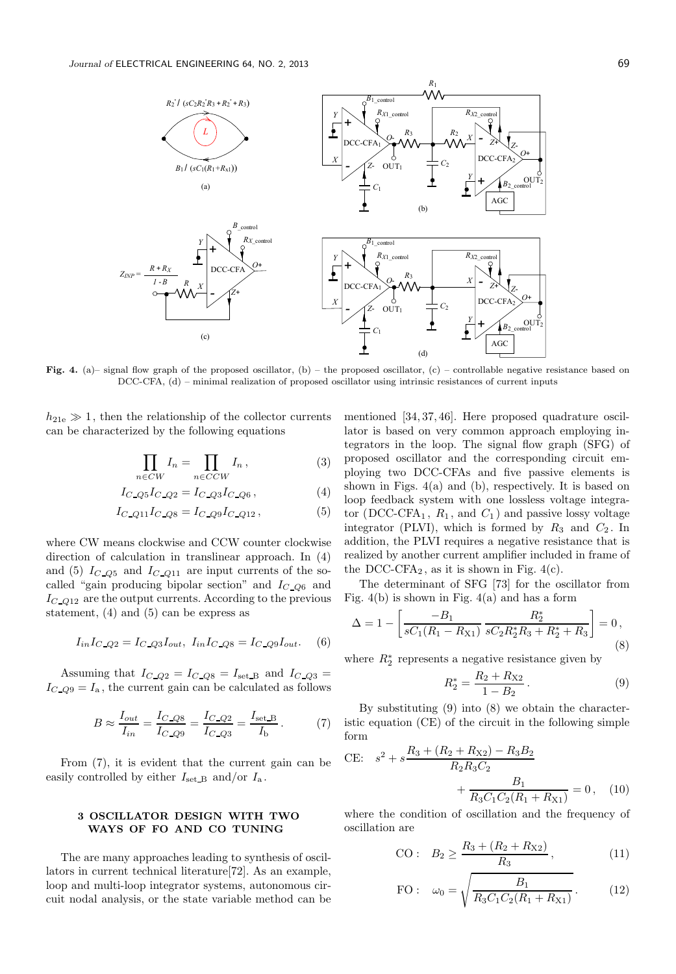

Fig. 4. (a)– signal flow graph of the proposed oscillator, (b) – the proposed oscillator, (c) – controllable negative resistance based on DCC-CFA, (d) – minimal realization of proposed oscillator using intrinsic resistances of current inputs

 $h_{21e} \gg 1$ , then the relationship of the collector currents can be characterized by the following equations

$$
\prod_{n \in CW} I_n = \prod_{n \in CCW} I_n, \tag{3}
$$

$$
I_{C\_Q5}I_{C\_Q2} = I_{C\_Q3}I_{C\_Q6},
$$
\n(4)

$$
I_{C\_Q11}I_{C\_Q8} = I_{C\_Q9}I_{C\_Q12},
$$
\n(5)

where CW means clockwise and CCW counter clockwise direction of calculation in translinear approach. In (4) and (5)  $I_{C_2Q5}$  and  $I_{C_2Q11}$  are input currents of the socalled "gain producing bipolar section" and  $I_{C,Q6}$  and  $I_{C_2Q12}$  are the output currents. According to the previous statement, (4) and (5) can be express as

$$
I_{in}I_{C\_Q2} = I_{C\_Q3}I_{out}, I_{in}I_{C\_Q8} = I_{C\_Q9}I_{out}. \quad (6)
$$

Assuming that  $I_{C\_Q2} = I_{C\_Q8} = I_{\text{set }B}$  and  $I_{C\_Q3} =$  $I_{C_2Q9} = I_a$ , the current gain can be calculated as follows

$$
B \approx \frac{I_{out}}{I_{in}} = \frac{I_{C\_Q8}}{I_{C\_Q9}} = \frac{I_{C\_Q2}}{I_{C\_Q3}} = \frac{I_{\text{set\_B}}}{I_{\text{b}}}.
$$
 (7)

From (7), it is evident that the current gain can be easily controlled by either  $I_{\text{set B}}$  and/or  $I_{\text{a}}$ .

# 3 OSCILLATOR DESIGN WITH TWO WAYS OF FO AND CO TUNING

The are many approaches leading to synthesis of oscillators in current technical literature[72]. As an example, loop and multi-loop integrator systems, autonomous circuit nodal analysis, or the state variable method can be mentioned [34, 37, 46]. Here proposed quadrature oscillator is based on very common approach employing integrators in the loop. The signal flow graph (SFG) of proposed oscillator and the corresponding circuit employing two DCC-CFAs and five passive elements is shown in Figs. 4(a) and (b), respectively. It is based on loop feedback system with one lossless voltage integrator (DCC-CFA<sub>1</sub>,  $R_1$ , and  $C_1$ ) and passive lossy voltage integrator (PLVI), which is formed by  $R_3$  and  $C_2$ . In addition, the PLVI requires a negative resistance that is realized by another current amplifier included in frame of the DCC-CFA<sub>2</sub>, as it is shown in Fig.  $4(c)$ .

The determinant of SFG [73] for the oscillator from Fig.  $4(b)$  is shown in Fig.  $4(a)$  and has a form

$$
\Delta = 1 - \left[ \frac{-B_1}{sC_1(R_1 - R_{X1})} \frac{R_2^*}{sC_2 R_2^* R_3 + R_2^* + R_3} \right] = 0,
$$
\n(8)

where  $R_2^*$  represents a negative resistance given by

$$
R_2^* = \frac{R_2 + R_{X2}}{1 - B_2}.
$$
 (9)

By substituting (9) into (8) we obtain the characteristic equation (CE) of the circuit in the following simple form

CE: 
$$
s^2 + s \frac{R_3 + (R_2 + R_{X2}) - R_3 B_2}{R_2 R_3 C_2}
$$
  
  $+ \frac{B_1}{R_3 C_1 C_2 (R_1 + R_{X1})} = 0$ , (10)

where the condition of oscillation and the frequency of oscillation are

CO: 
$$
B_2 \ge \frac{R_3 + (R_2 + R_{X2})}{R_3}
$$
, (11)

FO: 
$$
\omega_0 = \sqrt{\frac{B_1}{R_3 C_1 C_2 (R_1 + R_{X1})}}
$$
. (12)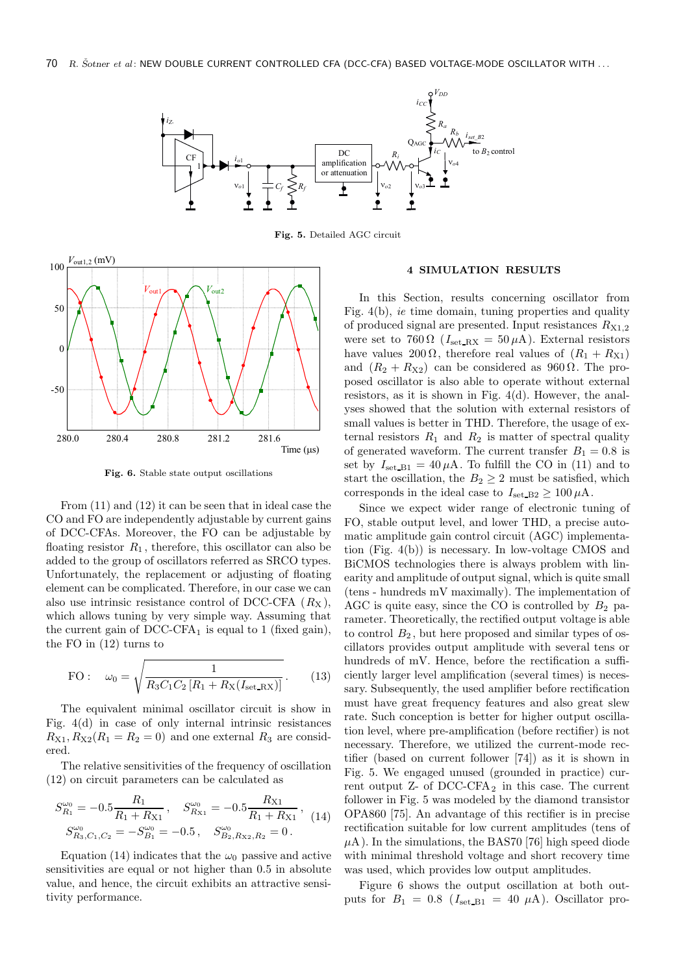

Fig. 5. Detailed AGC circuit



Fig. 6. Stable state output oscillations

From (11) and (12) it can be seen that in ideal case the CO and FO are independently adjustable by current gains of DCC-CFAs. Moreover, the FO can be adjustable by floating resistor  $R_1$ , therefore, this oscillator can also be added to the group of oscillators referred as SRCO types. Unfortunately, the replacement or adjusting of floating element can be complicated. Therefore, in our case we can also use intrinsic resistance control of DCC-CFA  $(R_X)$ , which allows tuning by very simple way. Assuming that the current gain of  $DCC-CFA<sub>1</sub>$  is equal to 1 (fixed gain), the FO in (12) turns to

FO: 
$$
\omega_0 = \sqrt{\frac{1}{R_3 C_1 C_2 [R_1 + R_X(I_{\text{set\_RX}})]}}
$$
. (13)

The equivalent minimal oscillator circuit is show in Fig. 4(d) in case of only internal intrinsic resistances  $R_{X1}, R_{X2}(R_1 = R_2 = 0)$  and one external  $R_3$  are considered.

The relative sensitivities of the frequency of oscillation (12) on circuit parameters can be calculated as

$$
S_{R_1}^{\omega_0} = -0.5 \frac{R_1}{R_1 + R_{X1}}, \quad S_{R_{X1}}^{\omega_0} = -0.5 \frac{R_{X1}}{R_1 + R_{X1}},
$$
  

$$
S_{R_3, C_1, C_2}^{\omega_0} = -S_{B_1}^{\omega_0} = -0.5, \quad S_{B_2, R_{X2}, R_2}^{\omega_0} = 0.
$$
 (14)

Equation (14) indicates that the  $\omega_0$  passive and active sensitivities are equal or not higher than 0.5 in absolute value, and hence, the circuit exhibits an attractive sensitivity performance.

## 4 SIMULATION RESULTS

In this Section, results concerning oscillator from Fig. 4(b), ie time domain, tuning properties and quality of produced signal are presented. Input resistances  $R_{X1,2}$ were set to 760  $\Omega$  ( $I_{\text{set-RX}} = 50 \,\mu\text{A}$ ). External resistors have values 200  $\Omega$ , therefore real values of  $(R_1 + R_{X1})$ and  $(R_2 + R_{X2})$  can be considered as 960  $\Omega$ . The proposed oscillator is also able to operate without external resistors, as it is shown in Fig. 4(d). However, the analyses showed that the solution with external resistors of small values is better in THD. Therefore, the usage of external resistors  $R_1$  and  $R_2$  is matter of spectral quality of generated waveform. The current transfer  $B_1 = 0.8$  is set by  $I_{\text{set\_B1}} = 40 \,\mu\text{A}$ . To fulfill the CO in (11) and to start the oscillation, the  $B_2 \geq 2$  must be satisfied, which corresponds in the ideal case to  $I_{\text{set\_B2}} \ge 100 \,\mu\text{A}$ .

Since we expect wider range of electronic tuning of FO, stable output level, and lower THD, a precise automatic amplitude gain control circuit (AGC) implementation (Fig. 4(b)) is necessary. In low-voltage CMOS and BiCMOS technologies there is always problem with linearity and amplitude of output signal, which is quite small (tens - hundreds mV maximally). The implementation of AGC is quite easy, since the CO is controlled by  $B_2$  parameter. Theoretically, the rectified output voltage is able to control  $B_2$ , but here proposed and similar types of oscillators provides output amplitude with several tens or hundreds of mV. Hence, before the rectification a sufficiently larger level amplification (several times) is necessary. Subsequently, the used amplifier before rectification must have great frequency features and also great slew rate. Such conception is better for higher output oscillation level, where pre-amplification (before rectifier) is not necessary. Therefore, we utilized the current-mode rectifier (based on current follower [74]) as it is shown in Fig. 5. We engaged unused (grounded in practice) current output  $Z-$  of  $DCC-CFA<sub>2</sub>$  in this case. The current follower in Fig. 5 was modeled by the diamond transistor OPA860 [75]. An advantage of this rectifier is in precise rectification suitable for low current amplitudes (tens of  $\mu$ A). In the simulations, the BAS70 [76] high speed diode with minimal threshold voltage and short recovery time was used, which provides low output amplitudes.

Figure 6 shows the output oscillation at both outputs for  $B_1 = 0.8$  ( $I_{\text{set B1}} = 40 \mu\text{A}$ ). Oscillator pro-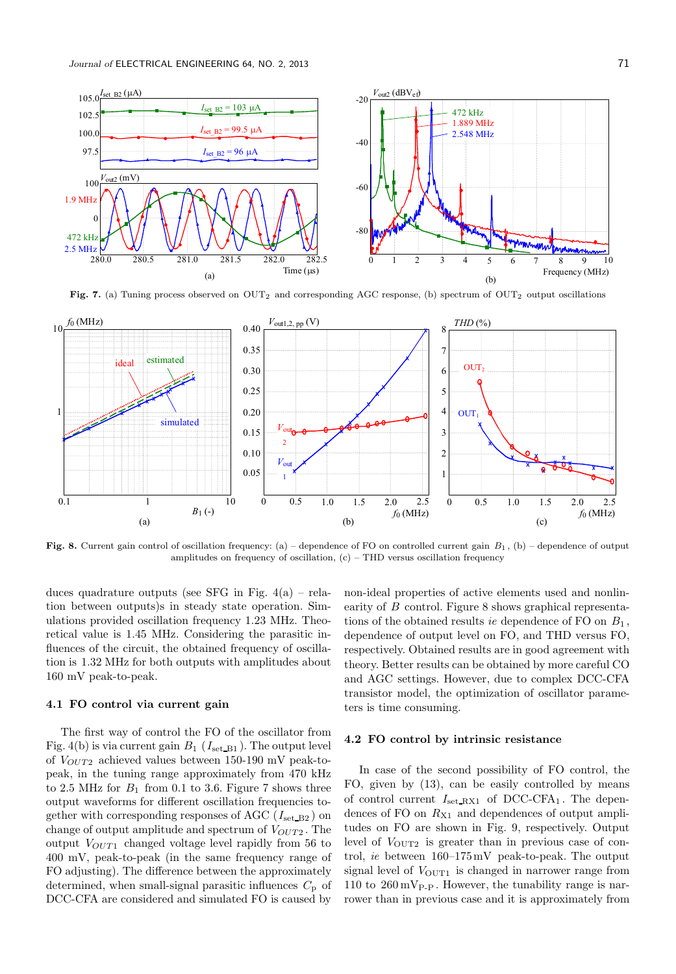

Fig. 7. (a) Tuning process observed on OUT<sub>2</sub> and corresponding AGC response, (b) spectrum of OUT<sub>2</sub> output oscillations



Fig. 8. Current gain control of oscillation frequency: (a) – dependence of FO on controlled current gain  $B_1$ , (b) – dependence of output amplitudes on frequency of oscillation,  $(c)$  – THD versus oscillation frequency

duces quadrature outputs (see SFG in Fig.  $4(a)$  – relation between outputs)s in steady state operation. Simulations provided oscillation frequency 1.23 MHz. Theoretical value is 1.45 MHz. Considering the parasitic influences of the circuit, the obtained frequency of oscillation is 1.32 MHz for both outputs with amplitudes about 160 mV peak-to-peak.

### 4.1 FO control via current gain

The first way of control the FO of the oscillator from Fig. 4(b) is via current gain  $B_1$  ( $I_{\text{set\_B1}}$ ). The output level of  $V_{OUT2}$  achieved values between 150-190 mV peak-topeak, in the tuning range approximately from 470 kHz to 2.5 MHz for  $B_1$  from 0.1 to 3.6. Figure 7 shows three output waveforms for different oscillation frequencies together with corresponding responses of AGC ( $I<sub>set_B2</sub>$ ) on change of output amplitude and spectrum of  $V_{OUT2}$ . The output  $V_{OUT1}$  changed voltage level rapidly from 56 to 400 mV, peak-to-peak (in the same frequency range of FO adjusting). The difference between the approximately determined, when small-signal parasitic influences  $C_p$  of DCC-CFA are considered and simulated FO is caused by

non-ideal properties of active elements used and nonlinearity of B control. Figure 8 shows graphical representations of the obtained results ie dependence of FO on  $B_1$ , dependence of output level on FO, and THD versus FO, respectively. Obtained results are in good agreement with theory. Better results can be obtained by more careful CO and AGC settings. However, due to complex DCC-CFA transistor model, the optimization of oscillator parameters is time consuming.

#### 4.2 FO control by intrinsic resistance

In case of the second possibility of FO control, the FO, given by (13), can be easily controlled by means of control current  $I_{\text{set\_RX1}}$  of DCC-CFA<sub>1</sub>. The dependences of FO on  $R_{X1}$  and dependences of output amplitudes on FO are shown in Fig. 9, respectively. Output level of  $V_{\text{OUT2}}$  is greater than in previous case of control, ie between 160–175mV peak-to-peak. The output signal level of  $V_{\text{OUT1}}$  is changed in narrower range from 110 to  $260 \,\mathrm{mV_{P-P}}$ . However, the tunability range is narrower than in previous case and it is approximately from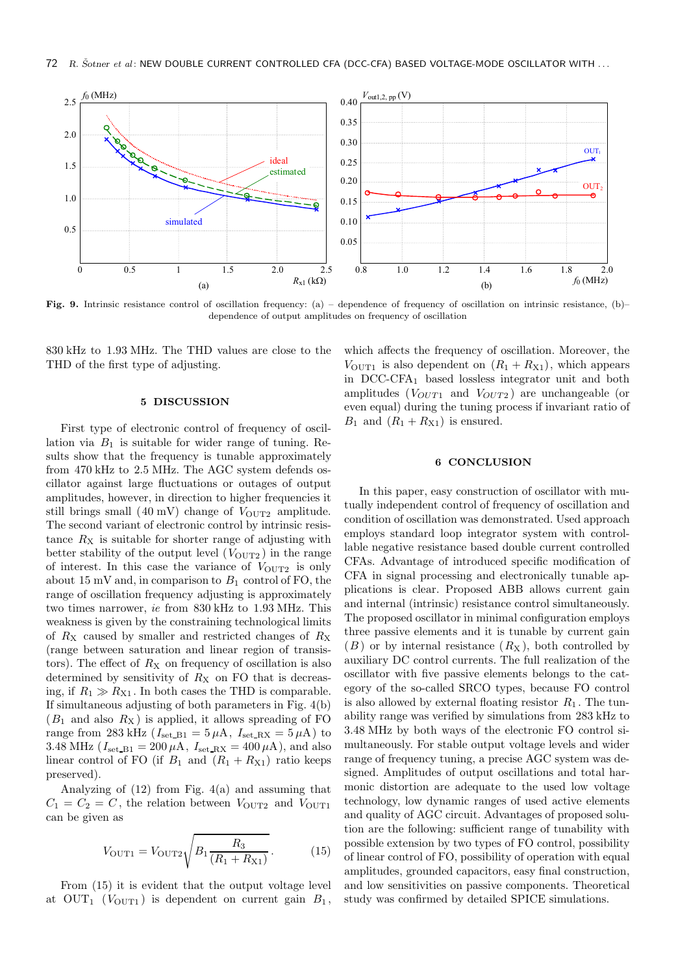

Fig. 9. Intrinsic resistance control of oscillation frequency: (a) – dependence of frequency of oscillation on intrinsic resistance, (b)– dependence of output amplitudes on frequency of oscillation

830 kHz to 1.93 MHz. The THD values are close to the THD of the first type of adjusting.

#### 5 DISCUSSION

First type of electronic control of frequency of oscillation via  $B_1$  is suitable for wider range of tuning. Results show that the frequency is tunable approximately from 470 kHz to 2.5 MHz. The AGC system defends oscillator against large fluctuations or outages of output amplitudes, however, in direction to higher frequencies it still brings small  $(40 \text{ mV})$  change of  $V_{\text{OUT2}}$  amplitude. The second variant of electronic control by intrinsic resistance  $R_X$  is suitable for shorter range of adjusting with better stability of the output level  $(V<sub>OUT2</sub>)$  in the range of interest. In this case the variance of  $V_{\text{OUT2}}$  is only about 15 mV and, in comparison to  $B_1$  control of FO, the range of oscillation frequency adjusting is approximately two times narrower, ie from 830 kHz to 1.93 MHz. This weakness is given by the constraining technological limits of  $R_X$  caused by smaller and restricted changes of  $R_X$ (range between saturation and linear region of transistors). The effect of  $R_X$  on frequency of oscillation is also determined by sensitivity of  $R_X$  on FO that is decreasing, if  $R_1 \gg R_{X1}$ . In both cases the THD is comparable. If simultaneous adjusting of both parameters in Fig. 4(b)  $(B_1 \text{ and also } R_{\text{X}})$  is applied, it allows spreading of FO range from 283 kHz ( $I_{\rm set\_B1} = 5 \mu A$ ,  $I_{\rm set\_RX} = 5 \mu A$ ) to 3.48 MHz ( $I_{\text{set\_B1}} = 200 \,\mu\text{A}$ ,  $I_{\text{set\_RX}} = 400 \,\mu\text{A}$ ), and also linear control of FO (if  $B_1$  and  $(R_1 + R_{X1})$  ratio keeps preserved).

Analyzing of (12) from Fig. 4(a) and assuming that  $C_1 = C_2 = C$ , the relation between  $V_{\text{OUT2}}$  and  $V_{\text{OUT1}}$ can be given as

$$
V_{\text{OUT1}} = V_{\text{OUT2}} \sqrt{B_1 \frac{R_3}{(R_1 + R_{\text{X1}})}}.
$$
 (15)

From (15) it is evident that the output voltage level at OUT<sub>1</sub> ( $V_{\text{OUT1}}$ ) is dependent on current gain  $B_1$ ,

which affects the frequency of oscillation. Moreover, the  $V_{\text{OUT1}}$  is also dependent on  $(R_1 + R_{\text{X1}})$ , which appears in DCC-CFA<sup>1</sup> based lossless integrator unit and both amplitudes ( $V_{OUT1}$  and  $V_{OUT2}$ ) are unchangeable (or even equal) during the tuning process if invariant ratio of  $B_1$  and  $(R_1 + R_{X1})$  is ensured.

## 6 CONCLUSION

In this paper, easy construction of oscillator with mutually independent control of frequency of oscillation and condition of oscillation was demonstrated. Used approach employs standard loop integrator system with controllable negative resistance based double current controlled CFAs. Advantage of introduced specific modification of CFA in signal processing and electronically tunable applications is clear. Proposed ABB allows current gain and internal (intrinsic) resistance control simultaneously. The proposed oscillator in minimal configuration employs three passive elements and it is tunable by current gain  $(B)$  or by internal resistance  $(R_X)$ , both controlled by auxiliary DC control currents. The full realization of the oscillator with five passive elements belongs to the category of the so-called SRCO types, because FO control is also allowed by external floating resistor  $R_1$ . The tunability range was verified by simulations from 283 kHz to 3.48 MHz by both ways of the electronic FO control simultaneously. For stable output voltage levels and wider range of frequency tuning, a precise AGC system was designed. Amplitudes of output oscillations and total harmonic distortion are adequate to the used low voltage technology, low dynamic ranges of used active elements and quality of AGC circuit. Advantages of proposed solution are the following: sufficient range of tunability with possible extension by two types of FO control, possibility of linear control of FO, possibility of operation with equal amplitudes, grounded capacitors, easy final construction, and low sensitivities on passive components. Theoretical study was confirmed by detailed SPICE simulations.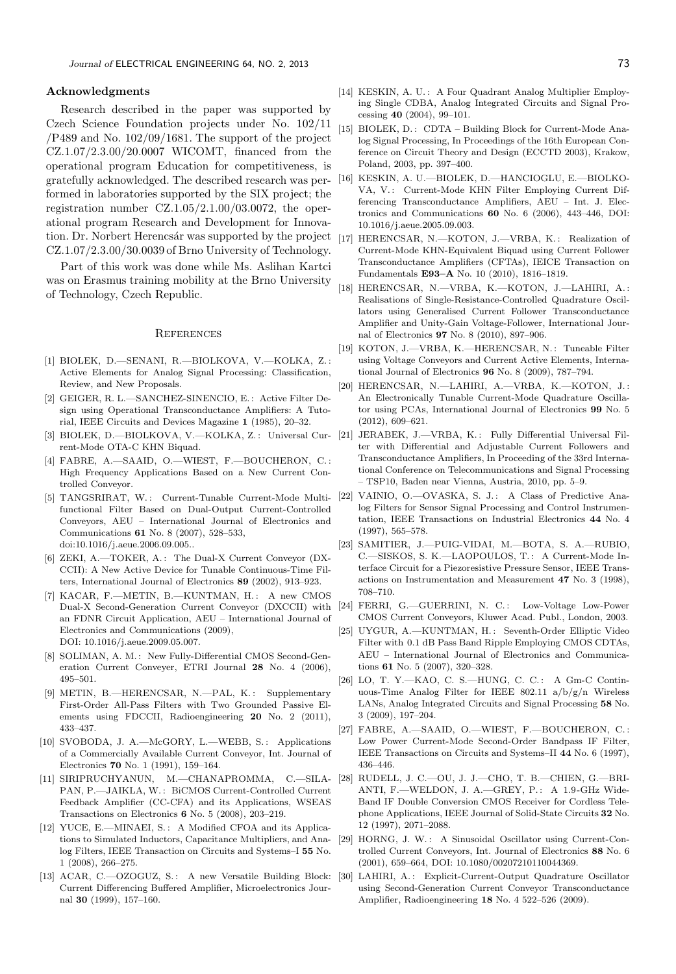#### Acknowledgments

Research described in the paper was supported by Czech Science Foundation projects under No. 102/11  $\text{/}P489$  and No. 102/09/1681. The support of the project  $CZ.1.07/2.3.00/20.0007$  WICOMT, financed from the operational program Education for competitiveness, is gratefully acknowledged. The described research was performed in laboratories supported by the SIX project; the registration number  $CZ.1.05/2.1.00/03.0072$ , the operational program Research and Development for Innovation. Dr. Norbert Herencsár was supported by the project CZ.1.07/2.3.00/30.0039 of Brno University of Technology.

Part of this work was done while Ms. Aslihan Kartci was on Erasmus training mobility at the Brno University of Technology, Czech Republic.

#### **REFERENCES**

- [1] BIOLEK, D.—SENANI, R.—BIOLKOVA, V.—KOLKA, Z. : Active Elements for Analog Signal Processing: Classification, Review, and New Proposals.
- [2] GEIGER, R. L.—SANCHEZ-SINENCIO, E. : Active Filter Design using Operational Transconductance Amplifiers: A Tutorial, IEEE Circuits and Devices Magazine 1 (1985), 20–32.
- [3] BIOLEK, D.-BIOLKOVA, V.-KOLKA, Z.: Universal Cur- [21] rent-Mode OTA-C KHN Biquad.
- [4] FABRE, A.—SAAID, O.—WIEST, F.—BOUCHERON, C. : High Frequency Applications Based on a New Current Controlled Conveyor.
- [5] TANGSRIRAT, W.: Current-Tunable Current-Mode Multifunctional Filter Based on Dual-Output Current-Controlled Conveyors, AEU – International Journal of Electronics and Communications 61 No. 8 (2007), 528–533, doi:10.1016/j.aeue.2006.09.005..
- [6] ZEKI, A.-TOKER, A.: The Dual-X Current Conveyor (DX-CCII): A New Active Device for Tunable Continuous-Time Filters, International Journal of Electronics 89 (2002), 913–923.
- [7] KACAR, F.-METIN, B.-KUNTMAN, H.: A new CMOS Dual-X Second-Generation Current Conveyor (DXCCII) with an FDNR Circuit Application, AEU – International Journal of Electronics and Communications (2009), DOI: 10.1016/j.aeue.2009.05.007.
- [8] SOLIMAN, A. M.: New Fully-Differential CMOS Second-Generation Current Conveyer, ETRI Journal 28 No. 4 (2006), 495–501.
- [9] METIN, B.-HERENCSAR, N.-PAL, K.: Supplementary First-Order All-Pass Filters with Two Grounded Passive Elements using FDCCII, Radioengineering 20 No. 2 (2011), 433–437.
- [10] SVOBODA, J. A.—McGORY, L.—WEBB, S.: Applications of a Commercially Available Current Conveyor, Int. Journal of Electronics 70 No. 1 (1991), 159–164.
- [11] SIRIPRUCHYANUN, M.—CHANAPROMMA, C.—SILA-PAN, P.—JAIKLA, W. : BiCMOS Current-Controlled Current Feedback Amplifier (CC-CFA) and its Applications, WSEAS Transactions on Electronics 6 No. 5 (2008), 203–219.
- [12] YUCE, E.-MINAEI, S.: A Modified CFOA and its Applications to Simulated Inductors, Capacitance Multipliers, and Analog Filters, IEEE Transaction on Circuits and Systems–I 55 No. 1 (2008), 266–275.
- [13] ACAR, C.—OZOGUZ, S.: A new Versatile Building Block: [30] Current Differencing Buffered Amplifier, Microelectronics Journal 30 (1999), 157–160.
- [14] KESKIN, A. U.: A Four Quadrant Analog Multiplier Employing Single CDBA, Analog Integrated Circuits and Signal Processing 40 (2004), 99–101.
- [15] BIOLEK, D.: CDTA Building Block for Current-Mode Analog Signal Processing, In Proceedings of the 16th European Conference on Circuit Theory and Design (ECCTD 2003), Krakow, Poland, 2003, pp. 397–400.
- [16] KESKIN, A. U.—BIOLEK, D.—HANCIOGLU, E.—BIOLKO-VA, V.: Current-Mode KHN Filter Employing Current Differencing Transconductance Amplifiers, AEU – Int. J. Electronics and Communications 60 No. 6 (2006), 443–446, DOI: 10.1016/j.aeue.2005.09.003.
- [17] HERENCSAR, N.-KOTON, J.-VRBA, K.: Realization of Current-Mode KHN-Equivalent Biquad using Current Follower Transconductance Amplifiers (CFTAs), IEICE Transaction on Fundamentals E93–A No. 10 (2010), 1816–1819.
- [18] HERENCSAR, N.—VRBA, K.—KOTON, J.—LAHIRI, A. : Realisations of Single-Resistance-Controlled Quadrature Oscillators using Generalised Current Follower Transconductance Amplifier and Unity-Gain Voltage-Follower, International Journal of Electronics 97 No. 8 (2010), 897–906.
- [19] KOTON, J.-VRBA, K.-HERENCSAR, N.: Tuneable Filter using Voltage Conveyors and Current Active Elements, International Journal of Electronics 96 No. 8 (2009), 787–794.
- [20] HERENCSAR, N.—LAHIRI, A.—VRBA, K.—KOTON, J. : An Electronically Tunable Current-Mode Quadrature Oscillator using PCAs, International Journal of Electronics 99 No. 5 (2012), 609–621.
- JERABEK, J.—VRBA, K.: Fully Differential Universal Filter with Differential and Adjustable Current Followers and Transconductance Amplifiers, In Proceeding of the 33rd International Conference on Telecommunications and Signal Processing – TSP10, Baden near Vienna, Austria, 2010, pp. 5–9.
- [22] VAINIO, O. OVASKA, S. J.: A Class of Predictive Analog Filters for Sensor Signal Processing and Control Instrumentation, IEEE Transactions on Industrial Electronics 44 No. 4 (1997), 565–578.
- [23] SAMITIER, J.—PUIG-VIDAI, M.—BOTA, S. A.—RUBIO, C.-SISKOS, S. K.-LAOPOULOS, T.: A Current-Mode Interface Circuit for a Piezoresistive Pressure Sensor, IEEE Transactions on Instrumentation and Measurement 47 No. 3 (1998), 708–710.
- [24] FERRI, G.-GUERRINI, N. C.: Low-Voltage Low-Power CMOS Current Conveyors, Kluwer Acad. Publ., London, 2003.
- [25] UYGUR, A.—KUNTMAN, H.: Seventh-Order Elliptic Video Filter with 0.1 dB Pass Band Ripple Employing CMOS CDTAs, AEU – International Journal of Electronics and Communications 61 No. 5 (2007), 320–328.
- [26] LO, T. Y.—KAO, C. S.—HUNG, C. C. : A Gm-C Continuous-Time Analog Filter for IEEE 802.11  $a/b/g/n$  Wireless LANs, Analog Integrated Circuits and Signal Processing 58 No. 3 (2009), 197–204.
- [27] FABRE, A.—SAAID, O.—WIEST, F.—BOUCHERON, C. : Low Power Current-Mode Second-Order Bandpass IF Filter, IEEE Transactions on Circuits and Systems–II 44 No. 6 (1997), 436–446.
- [28] RUDELL, J. C.—OU, J. J.—CHO, T. B.—CHIEN, G.—BRI-ANTI, F.—WELDON, J. A.—GREY, P. : A 1.9 -GHz Wide-Band IF Double Conversion CMOS Receiver for Cordless Telephone Applications, IEEE Journal of Solid-State Circuits 32 No. 12 (1997), 2071–2088.
- [29] HORNG, J. W. : A Sinusoidal Oscillator using Current-Controlled Current Conveyors, Int. Journal of Electronics 88 No. 6 (2001), 659–664, DOI: 10.1080/00207210110044369.
- LAHIRI, A.: Explicit-Current-Output Quadrature Oscillator using Second-Generation Current Conveyor Transconductance Amplifier, Radioengineering 18 No. 4 522–526 (2009).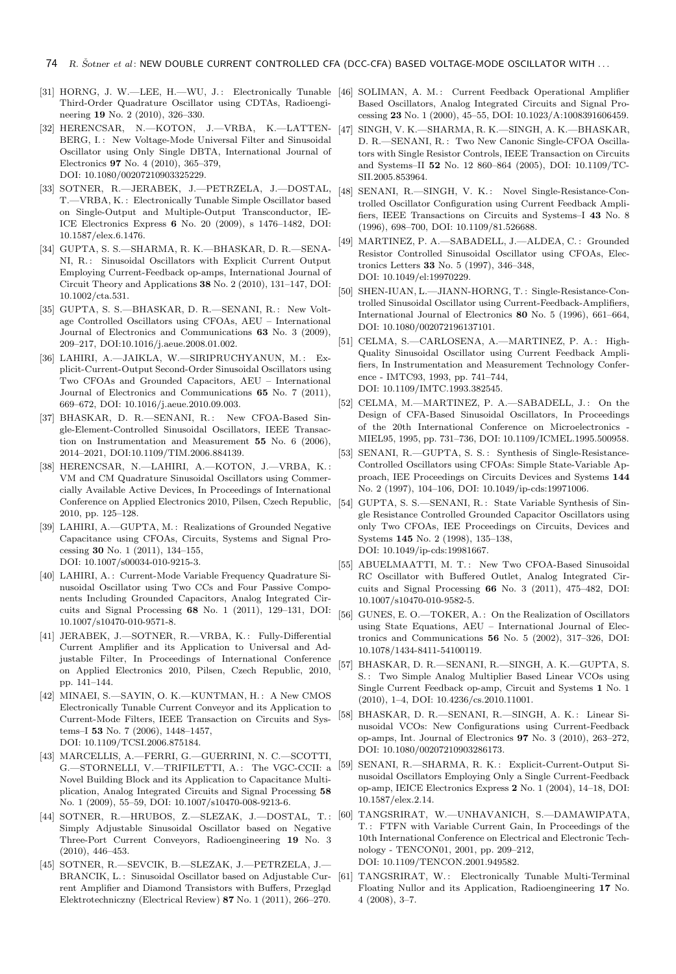- [31] HORNG, J. W.—LEE, H.—WU, J.: Electronically Tunable [46] SOLIMAN, A. M.: Current Feedback Operational Amplifier Third-Order Quadrature Oscillator using CDTAs, Radioengineering 19 No. 2 (2010), 326–330.
- [32] HERENCSAR, N.—KOTON, J.—VRBA, K.—LATTEN-BERG, I.: New Voltage-Mode Universal Filter and Sinusoidal Oscillator using Only Single DBTA, International Journal of Electronics 97 No. 4 (2010), 365–379, DOI: 10.1080/00207210903325229.
- [33] SOTNER, R.—JERABEK, J.—PETRZELA, J.—DOSTAL, T.—VRBA, K. : Electronically Tunable Simple Oscillator based on Single-Output and Multiple-Output Transconductor, IE-ICE Electronics Express 6 No. 20 (2009), s 1476–1482, DOI: 10.1587/elex.6.1476.
- [34] GUPTA, S. S.—SHARMA, R. K.—BHASKAR, D. R.—SENA-NI, R.: Sinusoidal Oscillators with Explicit Current Output Employing Current-Feedback op-amps, International Journal of Circuit Theory and Applications 38 No. 2 (2010), 131–147, DOI: 10.1002/cta.531.
- [35] GUPTA, S. S.—BHASKAR, D. R.—SENANI, R.: New Voltage Controlled Oscillators using CFOAs, AEU – International Journal of Electronics and Communications 63 No. 3 (2009), 209–217, DOI:10.1016/j.aeue.2008.01.002.
- [36] LAHIRI, A.-JAIKLA, W.-SIRIPRUCHYANUN, M.: Explicit-Current-Output Second-Order Sinusoidal Oscillators using Two CFOAs and Grounded Capacitors, AEU – International Journal of Electronics and Communications 65 No. 7 (2011), 669–672, DOI: 10.1016/j.aeue.2010.09.003.
- [37] BHASKAR, D. R.-SENANI, R.: New CFOA-Based Single-Element-Controlled Sinusoidal Oscillators, IEEE Transaction on Instrumentation and Measurement 55 No. 6 (2006), 2014–2021, DOI:10.1109/TIM.2006.884139.
- [38] HERENCSAR, N.—LAHIRI, A.—KOTON, J.—VRBA, K. : VM and CM Quadrature Sinusoidal Oscillators using Commercially Available Active Devices, In Proceedings of International Conference on Applied Electronics 2010, Pilsen, Czech Republic, 2010, pp. 125–128.
- [39] LAHIRI, A.—GUPTA, M. : Realizations of Grounded Negative Capacitance using CFOAs, Circuits, Systems and Signal Processing 30 No. 1 (2011), 134–155, DOI: 10.1007/s00034-010-9215-3.
- [40] LAHIRI, A.: Current-Mode Variable Frequency Quadrature Sinusoidal Oscillator using Two CCs and Four Passive Components Including Grounded Capacitors, Analog Integrated Circuits and Signal Processing 68 No. 1 (2011), 129–131, DOI: 10.1007/s10470-010-9571-8.
- [41] JERABEK, J.-SOTNER, R.-VRBA, K.: Fully-Differential Current Amplifier and its Application to Universal and Adjustable Filter, In Proceedings of International Conference on Applied Electronics 2010, Pilsen, Czech Republic, 2010, pp. 141–144.
- [42] MINAEI, S.-SAYIN, O. K.-KUNTMAN, H.: A New CMOS Electronically Tunable Current Conveyor and its Application to Current-Mode Filters, IEEE Transaction on Circuits and Systems–I 53 No. 7 (2006), 1448–1457, DOI: 10.1109/TCSI.2006.875184.
- [43] MARCELLIS, A.—FERRI, G.—GUERRINI, N. C.—SCOTTI, G.—STORNELLI, V.—TRIFILETTI, A.: The VGC-CCII: a Novel Building Block and its Application to Capacitance Multiplication, Analog Integrated Circuits and Signal Processing 58 No. 1 (2009), 55–59, DOI: 10.1007/s10470-008-9213-6.
- [44] SOTNER, R.—HRUBOS, Z.—SLEZAK, J.—DOSTAL, T. : Simply Adjustable Sinusoidal Oscillator based on Negative Three-Port Current Conveyors, Radioengineering 19 No. 3 (2010), 446–453.
- [45] SOTNER, R.—SEVCIK, B.—SLEZAK, J.—PETRZELA, J.— BRANCIK, L.: Sinusoidal Oscillator based on Adjustable Current Amplifier and Diamond Transistors with Buffers, Przegląd Elektrotechniczny (Electrical Review) 87 No. 1 (2011), 266–270.
- Based Oscillators, Analog Integrated Circuits and Signal Processing 23 No. 1 (2000), 45–55, DOI: 10.1023/A:1008391606459.
- [47] SINGH, V. K.—SHARMA, R. K.—SINGH, A. K.—BHASKAR, D. R.—SENANI, R.: Two New Canonic Single-CFOA Oscillators with Single Resistor Controls, IEEE Transaction on Circuits and Systems–II 52 No. 12 860–864 (2005), DOI: 10.1109/TC-SII.2005.853964.
- [48] SENANI, R.-SINGH, V. K.: Novel Single-Resistance-Controlled Oscillator Configuration using Current Feedback Amplifiers, IEEE Transactions on Circuits and Systems–I 43 No. 8 (1996), 698–700, DOI: 10.1109/81.526688.
- [49] MARTINEZ, P. A.—SABADELL, J.—ALDEA, C. : Grounded Resistor Controlled Sinusoidal Oscillator using CFOAs, Electronics Letters 33 No. 5 (1997), 346–348, DOI: 10.1049/el:19970229.
- [50] SHEN-IUAN, L.—JIANN-HORNG, T. : Single-Resistance-Controlled Sinusoidal Oscillator using Current-Feedback-Amplifiers, International Journal of Electronics 80 No. 5 (1996), 661–664, DOI: 10.1080/002072196137101.
- [51] CELMA, S.-CARLOSENA, A.-MARTINEZ, P. A.: High-Quality Sinusoidal Oscillator using Current Feedback Amplifiers, In Instrumentation and Measurement Technology Conference - IMTC93, 1993, pp. 741–744, DOI: 10.1109/IMTC.1993.382545.
- [52] CELMA, M.—MARTINEZ, P. A.—SABADELL, J.: On the Design of CFA-Based Sinusoidal Oscillators, In Proceedings of the 20th International Conference on Microelectronics - MIEL95, 1995, pp. 731–736, DOI: 10.1109/ICMEL.1995.500958.
- [53] SENANI, R.—GUPTA, S. S. : Synthesis of Single-Resistance-Controlled Oscillators using CFOAs: Simple State-Variable Approach, IEE Proceedings on Circuits Devices and Systems 144 No. 2 (1997), 104–106, DOI: 10.1049/ip-cds:19971006.
- [54] GUPTA, S. S.—SENANI, R.: State Variable Synthesis of Single Resistance Controlled Grounded Capacitor Oscillators using only Two CFOAs, IEE Proceedings on Circuits, Devices and Systems 145 No. 2 (1998), 135–138, DOI: 10.1049/ip-cds:19981667.
- [55] ABUELMAATTI, M. T.: New Two CFOA-Based Sinusoidal RC Oscillator with Buffered Outlet, Analog Integrated Circuits and Signal Processing 66 No. 3 (2011), 475–482, DOI: 10.1007/s10470-010-9582-5.
- [56] GUNES, E. O.-TOKER, A.: On the Realization of Oscillators using State Equations, AEU – International Journal of Electronics and Communications 56 No. 5 (2002), 317–326, DOI: 10.1078/1434-8411-54100119.
- [57] BHASKAR, D. R.—SENANI, R.—SINGH, A. K.—GUPTA, S. S. : Two Simple Analog Multiplier Based Linear VCOs using Single Current Feedback op-amp, Circuit and Systems 1 No. 1 (2010), 1–4, DOI: 10.4236/cs.2010.11001.
- [58] BHASKAR, D. R.—SENANI, R.—SINGH, A. K. : Linear Sinusoidal VCOs: New Configurations using Current-Feedback op-amps, Int. Journal of Electronics 97 No. 3 (2010), 263–272, DOI: 10.1080/00207210903286173.
- [59] SENANI, R.-SHARMA, R. K.: Explicit-Current-Output Sinusoidal Oscillators Employing Only a Single Current-Feedback op-amp, IEICE Electronics Express 2 No. 1 (2004), 14–18, DOI: 10.1587/elex.2.14.
- [60] TANGSRIRAT, W.—UNHAVANICH, S.—DAMAWIPATA, T. : FTFN with Variable Current Gain, In Proceedings of the 10th International Conference on Electrical and Electronic Technology - TENCON01, 2001, pp. 209–212, DOI: 10.1109/TENCON.2001.949582.
- [61] TANGSRIRAT, W.: Electronically Tunable Multi-Terminal Floating Nullor and its Application, Radioengineering 17 No. 4 (2008), 3–7.